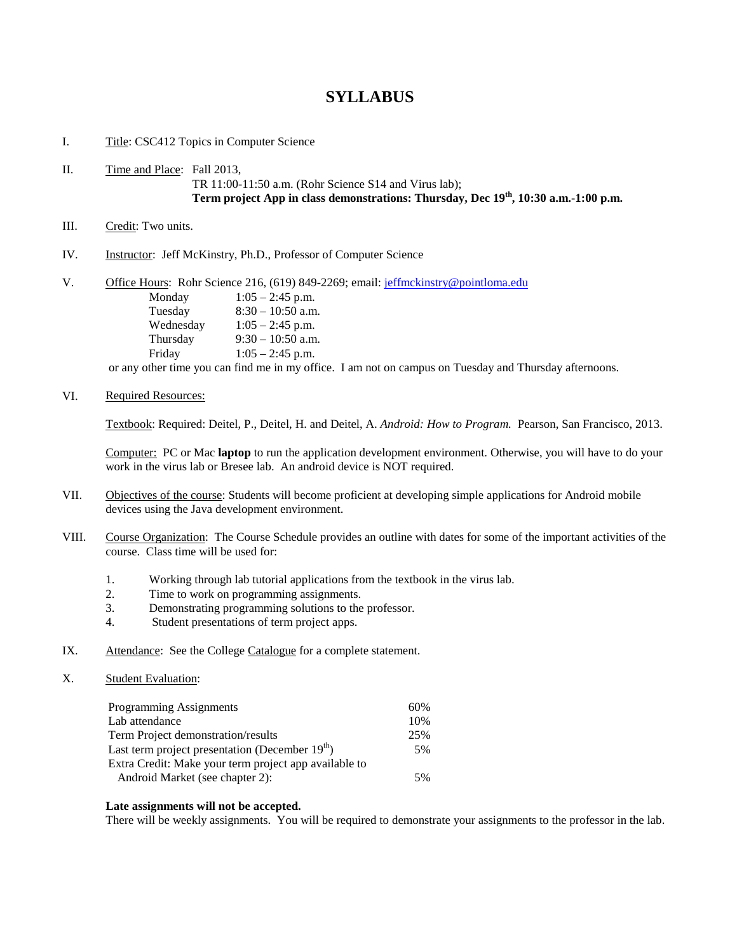## **SYLLABUS**

I. Title: CSC412 Topics in Computer Science

- II. Time and Place: Fall 2013, TR 11:00-11:50 a.m. (Rohr Science S14 and Virus lab); **Term project App in class demonstrations: Thursday, Dec 19th, 10:30 a.m.-1:00 p.m.**
- III. Credit: Two units.
- IV. Instructor: Jeff McKinstry, Ph.D., Professor of Computer Science

| V. | Office Hours: Rohr Science 216, (619) 849-2269; email: jeffmckinstry@pointloma.edu |                     |  |
|----|------------------------------------------------------------------------------------|---------------------|--|
|    | Monday                                                                             | $1:05 - 2:45$ p.m.  |  |
|    | Tuesday                                                                            | $8:30 - 10:50$ a.m. |  |
|    | Wednesday                                                                          | $1:05 - 2:45$ p.m.  |  |
|    | Thursday                                                                           | $9:30 - 10:50$ a.m. |  |
|    | Friday                                                                             | $1:05 - 2:45$ p.m.  |  |

or any other time you can find me in my office. I am not on campus on Tuesday and Thursday afternoons.

VI. Required Resources:

Textbook: Required: Deitel, P., Deitel, H. and Deitel, A. *Android: How to Program.* Pearson, San Francisco, 2013.

Computer: PC or Mac **laptop** to run the application development environment. Otherwise, you will have to do your work in the virus lab or Bresee lab. An android device is NOT required.

- VII. Objectives of the course: Students will become proficient at developing simple applications for Android mobile devices using the Java development environment.
- VIII. Course Organization: The Course Schedule provides an outline with dates for some of the important activities of the course. Class time will be used for:
	- 1. Working through lab tutorial applications from the textbook in the virus lab.
	- 2. Time to work on programming assignments.<br>3. Demonstrating programming solutions to the
	- Demonstrating programming solutions to the professor.
	- 4. Student presentations of term project apps.
- IX. Attendance: See the College Catalogue for a complete statement.
- X. Student Evaluation:

| Programming Assignments                               | 60% |
|-------------------------------------------------------|-----|
| Lab attendance                                        | 10% |
| Term Project demonstration/results                    | 25% |
| Last term project presentation (December $19th$ )     | 5%  |
| Extra Credit: Make your term project app available to |     |
| Android Market (see chapter 2):                       | 5%  |

## **Late assignments will not be accepted.**

There will be weekly assignments. You will be required to demonstrate your assignments to the professor in the lab.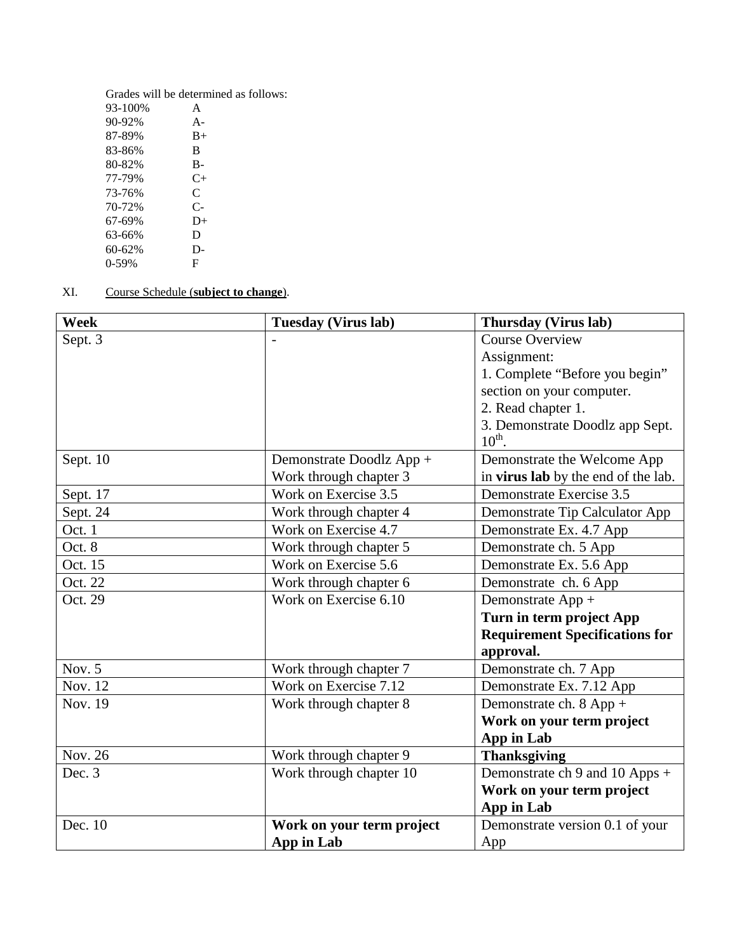Grades will be determined as follows:

| A     |
|-------|
| $A -$ |
| $B+$  |
| B     |
| B-    |
| C+    |
| C     |
| $C-$  |
| $D+$  |
| D     |
| D-    |
| F     |
|       |

XI. Course Schedule (**subject to change**).

| Week     | <b>Tuesday (Virus lab)</b> | <b>Thursday (Virus lab)</b>                           |
|----------|----------------------------|-------------------------------------------------------|
| Sept. 3  |                            | <b>Course Overview</b>                                |
|          |                            | Assignment:                                           |
|          |                            | 1. Complete "Before you begin"                        |
|          |                            | section on your computer.                             |
|          |                            | 2. Read chapter 1.                                    |
|          |                            | 3. Demonstrate Doodlz app Sept.<br>$10^{\text{th}}$ . |
| Sept. 10 | Demonstrate Doodlz App +   | Demonstrate the Welcome App                           |
|          | Work through chapter 3     | in virus lab by the end of the lab.                   |
| Sept. 17 | Work on Exercise 3.5       | Demonstrate Exercise 3.5                              |
| Sept. 24 | Work through chapter 4     | Demonstrate Tip Calculator App                        |
| Oct. 1   | Work on Exercise 4.7       | Demonstrate Ex. 4.7 App                               |
| Oct. 8   | Work through chapter 5     | Demonstrate ch. 5 App                                 |
| Oct. 15  | Work on Exercise 5.6       | Demonstrate Ex. 5.6 App                               |
| Oct. 22  | Work through chapter 6     | Demonstrate ch. 6 App                                 |
| Oct. 29  | Work on Exercise 6.10      | Demonstrate App +                                     |
|          |                            | Turn in term project App                              |
|          |                            | <b>Requirement Specifications for</b>                 |
|          |                            | approval.                                             |
| Nov. 5   | Work through chapter 7     | Demonstrate ch. 7 App                                 |
| Nov. 12  | Work on Exercise 7.12      | Demonstrate Ex. 7.12 App                              |
| Nov. 19  | Work through chapter 8     | Demonstrate ch. 8 App +                               |
|          |                            | Work on your term project                             |
|          |                            | App in Lab                                            |
| Nov. 26  | Work through chapter 9     | <b>Thanksgiving</b>                                   |
| Dec. 3   | Work through chapter 10    | Demonstrate ch 9 and 10 Apps +                        |
|          |                            | Work on your term project                             |
|          |                            | App in Lab                                            |
| Dec. 10  | Work on your term project  | Demonstrate version 0.1 of your                       |
|          | App in Lab                 | App                                                   |